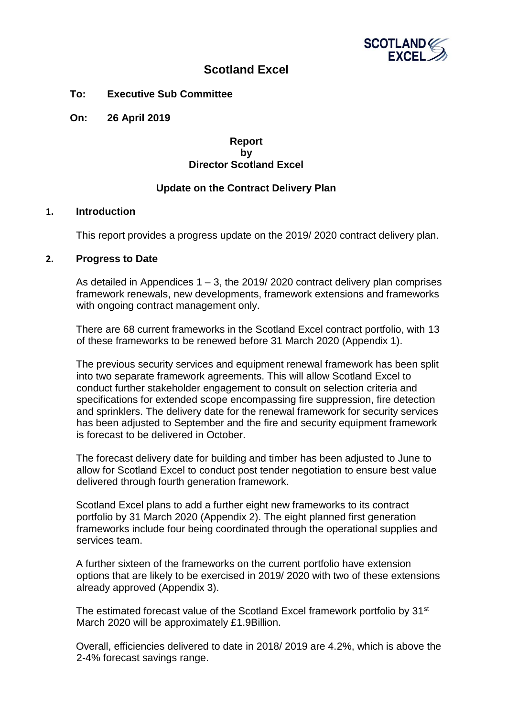

# **Scotland Excel**

**To: Executive Sub Committee**

**On: 26 April 2019**

### **Report by Director Scotland Excel**

## **Update on the Contract Delivery Plan**

#### **1. Introduction**

This report provides a progress update on the 2019/ 2020 contract delivery plan.

#### **2. Progress to Date**

As detailed in Appendices  $1 - 3$ , the 2019/2020 contract delivery plan comprises framework renewals, new developments, framework extensions and frameworks with ongoing contract management only.

There are 68 current frameworks in the Scotland Excel contract portfolio, with 13 of these frameworks to be renewed before 31 March 2020 (Appendix 1).

The previous security services and equipment renewal framework has been split into two separate framework agreements. This will allow Scotland Excel to conduct further stakeholder engagement to consult on selection criteria and specifications for extended scope encompassing fire suppression, fire detection and sprinklers. The delivery date for the renewal framework for security services has been adjusted to September and the fire and security equipment framework is forecast to be delivered in October.

The forecast delivery date for building and timber has been adjusted to June to allow for Scotland Excel to conduct post tender negotiation to ensure best value delivered through fourth generation framework.

Scotland Excel plans to add a further eight new frameworks to its contract portfolio by 31 March 2020 (Appendix 2). The eight planned first generation frameworks include four being coordinated through the operational supplies and services team.

A further sixteen of the frameworks on the current portfolio have extension options that are likely to be exercised in 2019/ 2020 with two of these extensions already approved (Appendix 3).

The estimated forecast value of the Scotland Excel framework portfolio by 31<sup>st</sup> March 2020 will be approximately £1.9Billion.

Overall, efficiencies delivered to date in 2018/ 2019 are 4.2%, which is above the 2-4% forecast savings range.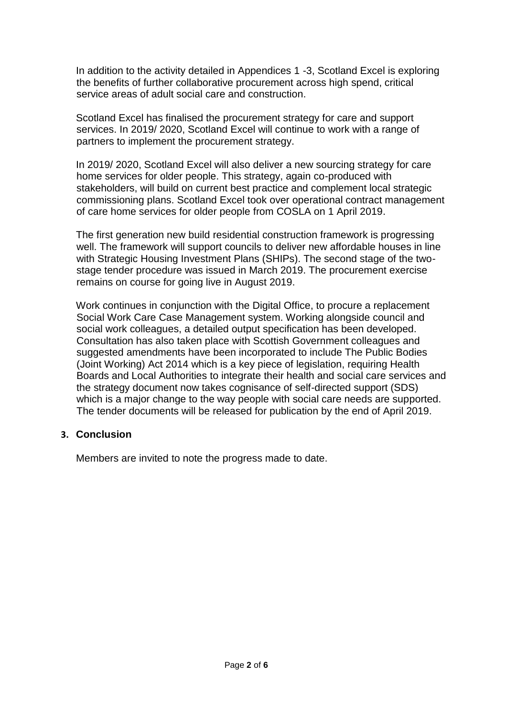In addition to the activity detailed in Appendices 1 -3, Scotland Excel is exploring the benefits of further collaborative procurement across high spend, critical service areas of adult social care and construction.

Scotland Excel has finalised the procurement strategy for care and support services. In 2019/ 2020, Scotland Excel will continue to work with a range of partners to implement the procurement strategy.

In 2019/ 2020, Scotland Excel will also deliver a new sourcing strategy for care home services for older people. This strategy, again co-produced with stakeholders, will build on current best practice and complement local strategic commissioning plans. Scotland Excel took over operational contract management of care home services for older people from COSLA on 1 April 2019.

The first generation new build residential construction framework is progressing well. The framework will support councils to deliver new affordable houses in line with Strategic Housing Investment Plans (SHIPs). The second stage of the twostage tender procedure was issued in March 2019. The procurement exercise remains on course for going live in August 2019.

Work continues in conjunction with the Digital Office, to procure a replacement Social Work Care Case Management system. Working alongside council and social work colleagues, a detailed output specification has been developed. Consultation has also taken place with Scottish Government colleagues and suggested amendments have been incorporated to include The Public Bodies (Joint Working) Act 2014 which is a key piece of legislation, requiring Health Boards and Local Authorities to integrate their health and social care services and the strategy document now takes cognisance of self-directed support (SDS) which is a major change to the way people with social care needs are supported. The tender documents will be released for publication by the end of April 2019.

## **3. Conclusion**

Members are invited to note the progress made to date.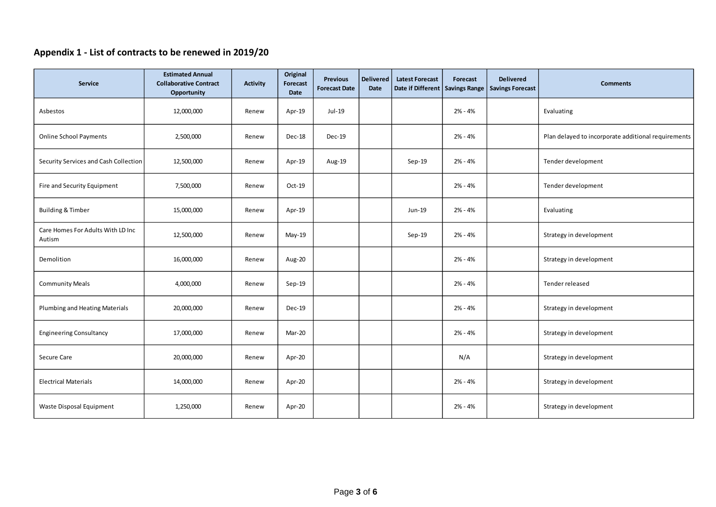# **Appendix 1 - List of contracts to be renewed in 2019/20**

| Service                                     | <b>Estimated Annual</b><br><b>Collaborative Contract</b><br><b>Opportunity</b> | <b>Activity</b> | Original<br>Forecast<br>Date | <b>Previous</b><br><b>Forecast Date</b> | <b>Delivered</b><br>Date | <b>Latest Forecast</b><br>Date if Different Savings Range | Forecast  | <b>Delivered</b><br><b>Savings Forecast</b> | <b>Comments</b>                                     |
|---------------------------------------------|--------------------------------------------------------------------------------|-----------------|------------------------------|-----------------------------------------|--------------------------|-----------------------------------------------------------|-----------|---------------------------------------------|-----------------------------------------------------|
| Asbestos                                    | 12,000,000                                                                     | Renew           | Apr-19                       | Jul-19                                  |                          |                                                           | 2% - 4%   |                                             | Evaluating                                          |
| <b>Online School Payments</b>               | 2,500,000                                                                      | Renew           | Dec-18                       | <b>Dec-19</b>                           |                          |                                                           | $2% - 4%$ |                                             | Plan delayed to incorporate additional requirements |
| Security Services and Cash Collection       | 12,500,000                                                                     | Renew           | Apr-19                       | Aug-19                                  |                          | $Sep-19$                                                  | $2% - 4%$ |                                             | Tender development                                  |
| Fire and Security Equipment                 | 7,500,000                                                                      | Renew           | Oct-19                       |                                         |                          |                                                           | $2% - 4%$ |                                             | Tender development                                  |
| <b>Building &amp; Timber</b>                | 15,000,000                                                                     | Renew           | Apr-19                       |                                         |                          | Jun-19                                                    | 2% - 4%   |                                             | Evaluating                                          |
| Care Homes For Adults With LD Inc<br>Autism | 12,500,000                                                                     | Renew           | May-19                       |                                         |                          | Sep-19                                                    | $2% - 4%$ |                                             | Strategy in development                             |
| Demolition                                  | 16,000,000                                                                     | Renew           | Aug-20                       |                                         |                          |                                                           | 2% - 4%   |                                             | Strategy in development                             |
| <b>Community Meals</b>                      | 4,000,000                                                                      | Renew           | Sep-19                       |                                         |                          |                                                           | $2% - 4%$ |                                             | Tender released                                     |
| Plumbing and Heating Materials              | 20,000,000                                                                     | Renew           | $Dec-19$                     |                                         |                          |                                                           | $2% - 4%$ |                                             | Strategy in development                             |
| <b>Engineering Consultancy</b>              | 17,000,000                                                                     | Renew           | Mar-20                       |                                         |                          |                                                           | 2% - 4%   |                                             | Strategy in development                             |
| Secure Care                                 | 20,000,000                                                                     | Renew           | Apr-20                       |                                         |                          |                                                           | N/A       |                                             | Strategy in development                             |
| <b>Electrical Materials</b>                 | 14,000,000                                                                     | Renew           | Apr-20                       |                                         |                          |                                                           | $2% - 4%$ |                                             | Strategy in development                             |
| Waste Disposal Equipment                    | 1,250,000                                                                      | Renew           | Apr-20                       |                                         |                          |                                                           | $2% - 4%$ |                                             | Strategy in development                             |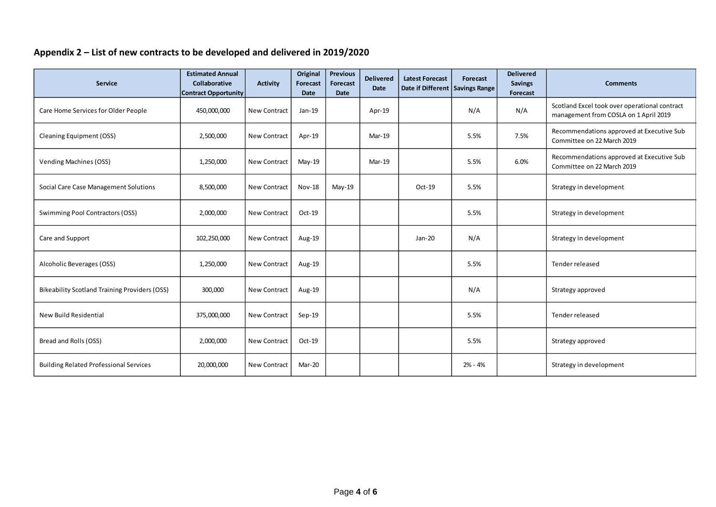# **Appendix 2 – List of new contracts to be developed and delivered in 2019/2020**

| <b>Service</b>                                       | <b>Estimated Annual</b><br><b>Collaborative</b><br><b>Contract Opportunity</b> | <b>Activity</b>     | Original<br>Forecast<br><b>Date</b> | <b>Previous</b><br>Forecast<br><b>Date</b> | <b>Delivered</b><br>Date | <b>Latest Forecast</b><br>Date if Different Savings Range | Forecast | <b>Delivered</b><br><b>Savings</b><br>Forecast | <b>Comments</b>                                                                        |
|------------------------------------------------------|--------------------------------------------------------------------------------|---------------------|-------------------------------------|--------------------------------------------|--------------------------|-----------------------------------------------------------|----------|------------------------------------------------|----------------------------------------------------------------------------------------|
| Care Home Services for Older People                  | 450,000,000                                                                    | <b>New Contract</b> | Jan-19                              |                                            | Apr-19                   |                                                           | N/A      | N/A                                            | Scotland Excel took over operational contract<br>management from COSLA on 1 April 2019 |
| <b>Cleaning Equipment (OSS)</b>                      | 2,500,000                                                                      | <b>New Contract</b> | Apr-19                              |                                            | Mar-19                   |                                                           | 5.5%     | 7.5%                                           | Recommendations approved at Executive Sub<br>Committee on 22 March 2019                |
| <b>Vending Machines (OSS)</b>                        | 1,250,000                                                                      | New Contract        | $May-19$                            |                                            | Mar-19                   |                                                           | 5.5%     | 6.0%                                           | Recommendations approved at Executive Sub<br>Committee on 22 March 2019                |
| Social Care Case Management Solutions                | 8,500,000                                                                      | <b>New Contract</b> | <b>Nov-18</b>                       | May-19                                     |                          | Oct-19                                                    | 5.5%     |                                                | Strategy in development                                                                |
| Swimming Pool Contractors (OSS)                      | 2,000,000                                                                      | <b>New Contract</b> | Oct-19                              |                                            |                          |                                                           | 5.5%     |                                                | Strategy in development                                                                |
| Care and Support                                     | 102,250,000                                                                    | <b>New Contract</b> | Aug-19                              |                                            |                          | Jan-20                                                    | N/A      |                                                | Strategy in development                                                                |
| Alcoholic Beverages (OSS)                            | 1,250,000                                                                      | <b>New Contract</b> | Aug-19                              |                                            |                          |                                                           | 5.5%     |                                                | Tender released                                                                        |
| <b>Bikeability Scotland Training Providers (OSS)</b> | 300,000                                                                        | <b>New Contract</b> | Aug-19                              |                                            |                          |                                                           | N/A      |                                                | Strategy approved                                                                      |
| New Build Residential                                | 375,000,000                                                                    | New Contract        | Sep-19                              |                                            |                          |                                                           | 5.5%     |                                                | Tender released                                                                        |
| Bread and Rolls (OSS)                                | 2,000,000                                                                      | <b>New Contract</b> | Oct-19                              |                                            |                          |                                                           | 5.5%     |                                                | Strategy approved                                                                      |
| <b>Building Related Professional Services</b>        | 20,000,000                                                                     | <b>New Contract</b> | Mar-20                              |                                            |                          |                                                           | 2% - 4%  |                                                | Strategy in development                                                                |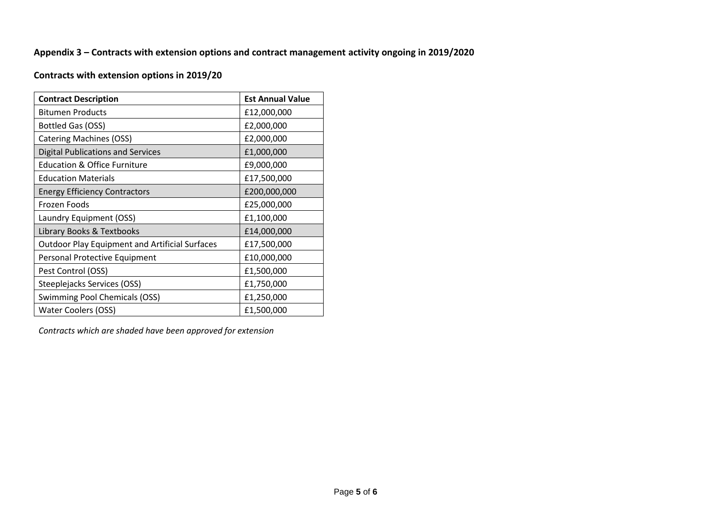## **Appendix 3 – Contracts with extension options and contract management activity ongoing in 2019/2020**

# **Contracts with extension options in 2019/20**

| <b>Contract Description</b>                           | <b>Est Annual Value</b> |
|-------------------------------------------------------|-------------------------|
| <b>Bitumen Products</b>                               | £12,000,000             |
| Bottled Gas (OSS)                                     | £2,000,000              |
| <b>Catering Machines (OSS)</b>                        | £2,000,000              |
| <b>Digital Publications and Services</b>              | £1,000,000              |
| <b>Education &amp; Office Furniture</b>               | £9,000,000              |
| <b>Education Materials</b>                            | £17,500,000             |
| <b>Energy Efficiency Contractors</b>                  | £200,000,000            |
| Frozen Foods                                          | £25,000,000             |
| Laundry Equipment (OSS)                               | £1,100,000              |
| Library Books & Textbooks                             | £14,000,000             |
| <b>Outdoor Play Equipment and Artificial Surfaces</b> | £17,500,000             |
| Personal Protective Equipment                         | £10,000,000             |
| Pest Control (OSS)                                    | £1,500,000              |
| Steeplejacks Services (OSS)                           | £1,750,000              |
| <b>Swimming Pool Chemicals (OSS)</b>                  | £1,250,000              |
| <b>Water Coolers (OSS)</b>                            | £1,500,000              |

*Contracts which are shaded have been approved for extension*